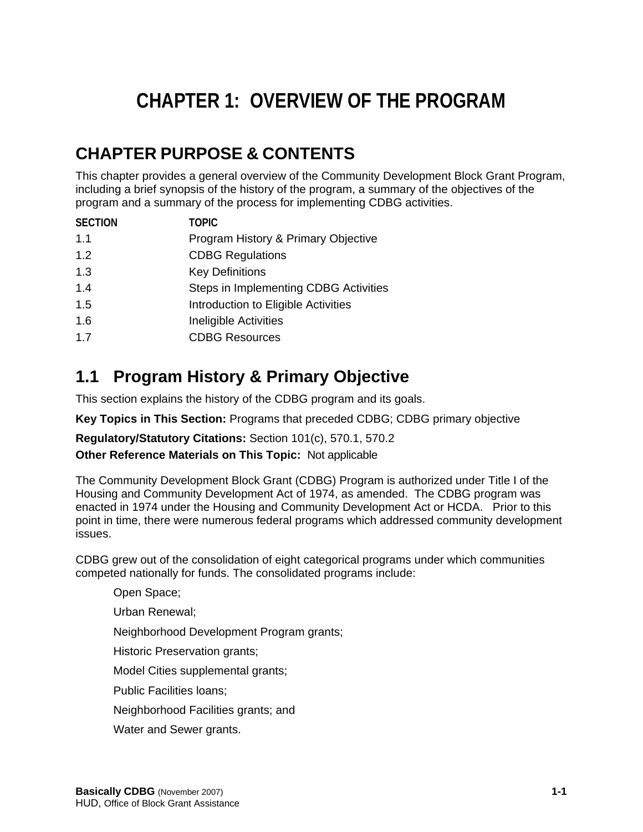# **CHAPTER 1: OVERVIEW OF THE PROGRAM**

# **CHAPTER PURPOSE & CONTENTS**

This chapter provides a general overview of the Community Development Block Grant Program, including a brief synopsis of the history of the program, a summary of the objectives of the program and a summary of the process for implementing CDBG activities.

| <b>SECTION</b> | <b>TOPIC</b>                          |
|----------------|---------------------------------------|
| 1.1            | Program History & Primary Objective   |
| 1.2            | <b>CDBG Regulations</b>               |
| 1.3            | <b>Key Definitions</b>                |
| 1.4            | Steps in Implementing CDBG Activities |
| 1.5            | Introduction to Eligible Activities   |
| 1.6            | Ineligible Activities                 |
| 1.7            | <b>CDBG Resources</b>                 |
|                |                                       |

# **1.1 Program History & Primary Objective**

This section explains the history of the CDBG program and its goals.

**Key Topics in This Section:** Programs that preceded CDBG; CDBG primary objective

**Regulatory/Statutory Citations:** Section 101(c), 570.1, 570.2

#### **Other Reference Materials on This Topic:** Not applicable

The Community Development Block Grant (CDBG) Program is authorized under Title I of the Housing and Community Development Act of 1974, as amended. The CDBG program was enacted in 1974 under the Housing and Community Development Act or HCDA. Prior to this point in time, there were numerous federal programs which addressed community development issues.

CDBG grew out of the consolidation of eight categorical programs under which communities competed nationally for funds. The consolidated programs include:

Open Space; Urban Renewal; Neighborhood Development Program grants; Historic Preservation grants; Model Cities supplemental grants; Public Facilities loans; Neighborhood Facilities grants; and Water and Sewer grants.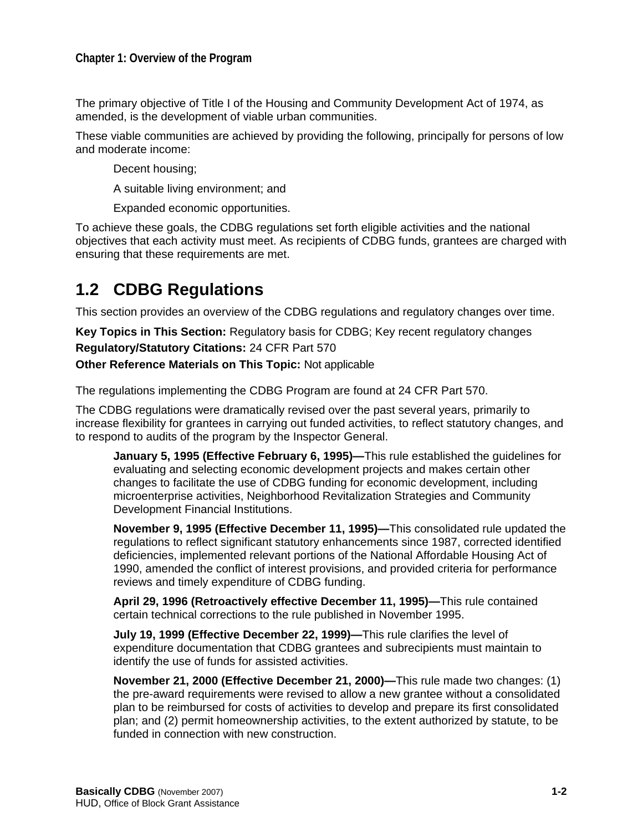The primary objective of Title I of the Housing and Community Development Act of 1974, as amended, is the development of viable urban communities.

These viable communities are achieved by providing the following, principally for persons of low and moderate income:

Decent housing;

A suitable living environment; and

Expanded economic opportunities.

To achieve these goals, the CDBG regulations set forth eligible activities and the national objectives that each activity must meet. As recipients of CDBG funds, grantees are charged with ensuring that these requirements are met.

### **1.2 CDBG Regulations**

This section provides an overview of the CDBG regulations and regulatory changes over time.

**Key Topics in This Section:** Regulatory basis for CDBG; Key recent regulatory changes **Regulatory/Statutory Citations:** 24 CFR Part 570

**Other Reference Materials on This Topic:** Not applicable

The regulations implementing the CDBG Program are found at 24 CFR Part 570.

The CDBG regulations were dramatically revised over the past several years, primarily to increase flexibility for grantees in carrying out funded activities, to reflect statutory changes, and to respond to audits of the program by the Inspector General.

**January 5, 1995 (Effective February 6, 1995)—**This rule established the guidelines for evaluating and selecting economic development projects and makes certain other changes to facilitate the use of CDBG funding for economic development, including microenterprise activities, Neighborhood Revitalization Strategies and Community Development Financial Institutions.

**November 9, 1995 (Effective December 11, 1995)—**This consolidated rule updated the regulations to reflect significant statutory enhancements since 1987, corrected identified deficiencies, implemented relevant portions of the National Affordable Housing Act of 1990, amended the conflict of interest provisions, and provided criteria for performance reviews and timely expenditure of CDBG funding.

**April 29, 1996 (Retroactively effective December 11, 1995)—**This rule contained certain technical corrections to the rule published in November 1995.

**July 19, 1999 (Effective December 22, 1999)—**This rule clarifies the level of expenditure documentation that CDBG grantees and subrecipients must maintain to identify the use of funds for assisted activities.

**November 21, 2000 (Effective December 21, 2000)—**This rule made two changes: (1) the pre-award requirements were revised to allow a new grantee without a consolidated plan to be reimbursed for costs of activities to develop and prepare its first consolidated plan; and (2) permit homeownership activities, to the extent authorized by statute, to be funded in connection with new construction.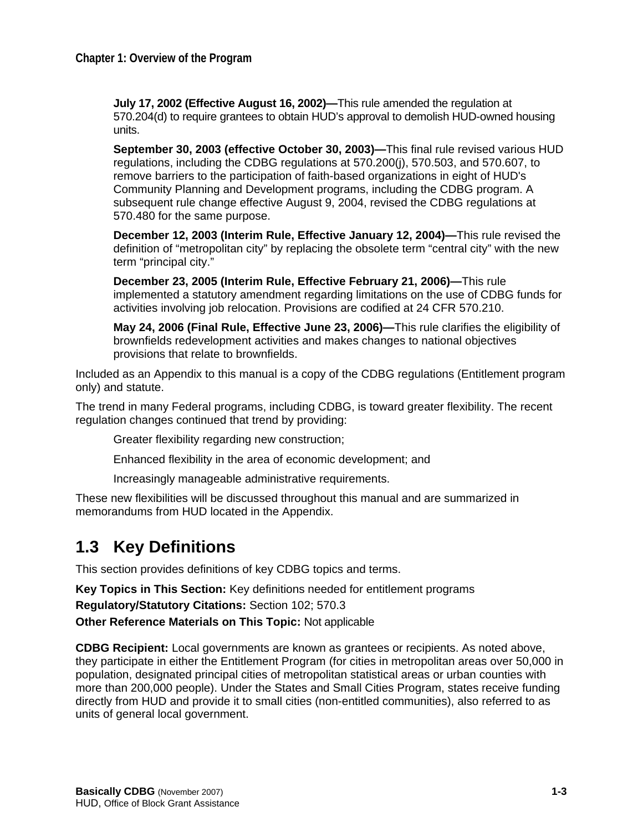**July 17, 2002 (Effective August 16, 2002)—**This rule amended the regulation at 570.204(d) to require grantees to obtain HUD's approval to demolish HUD-owned housing units.

**September 30, 2003 (effective October 30, 2003)—**This final rule revised various HUD regulations, including the CDBG regulations at 570.200(j), 570.503, and 570.607, to remove barriers to the participation of faith-based organizations in eight of HUD's Community Planning and Development programs, including the CDBG program. A subsequent rule change effective August 9, 2004, revised the CDBG regulations at 570.480 for the same purpose.

**December 12, 2003 (Interim Rule, Effective January 12, 2004)—**This rule revised the definition of "metropolitan city" by replacing the obsolete term "central city" with the new term "principal city."

**December 23, 2005 (Interim Rule, Effective February 21, 2006)—**This rule implemented a statutory amendment regarding limitations on the use of CDBG funds for activities involving job relocation. Provisions are codified at 24 CFR 570.210.

**May 24, 2006 (Final Rule, Effective June 23, 2006)—**This rule clarifies the eligibility of brownfields redevelopment activities and makes changes to national objectives provisions that relate to brownfields.

Included as an Appendix to this manual is a copy of the CDBG regulations (Entitlement program only) and statute.

The trend in many Federal programs, including CDBG, is toward greater flexibility. The recent regulation changes continued that trend by providing:

Greater flexibility regarding new construction;

Enhanced flexibility in the area of economic development; and

Increasingly manageable administrative requirements.

These new flexibilities will be discussed throughout this manual and are summarized in memorandums from HUD located in the Appendix.

### **1.3 Key Definitions**

This section provides definitions of key CDBG topics and terms.

**Key Topics in This Section:** Key definitions needed for entitlement programs

**Regulatory/Statutory Citations:** Section 102; 570.3

**Other Reference Materials on This Topic:** Not applicable

**CDBG Recipient:** Local governments are known as grantees or recipients. As noted above, they participate in either the Entitlement Program (for cities in metropolitan areas over 50,000 in population, designated principal cities of metropolitan statistical areas or urban counties with more than 200,000 people). Under the States and Small Cities Program, states receive funding directly from HUD and provide it to small cities (non-entitled communities), also referred to as units of general local government.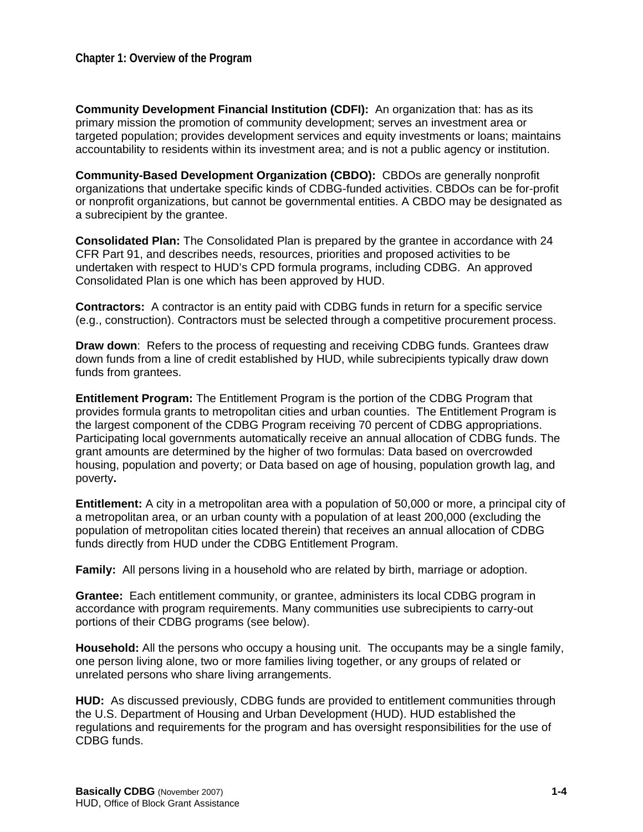**Community Development Financial Institution (CDFI):** An organization that: has as its primary mission the promotion of community development; serves an investment area or targeted population; provides development services and equity investments or loans; maintains accountability to residents within its investment area; and is not a public agency or institution.

**Community-Based Development Organization (CBDO):** CBDOs are generally nonprofit organizations that undertake specific kinds of CDBG-funded activities. CBDOs can be for-profit or nonprofit organizations, but cannot be governmental entities. A CBDO may be designated as a subrecipient by the grantee.

**Consolidated Plan:** The Consolidated Plan is prepared by the grantee in accordance with 24 CFR Part 91, and describes needs, resources, priorities and proposed activities to be undertaken with respect to HUD's CPD formula programs, including CDBG. An approved Consolidated Plan is one which has been approved by HUD.

**Contractors:** A contractor is an entity paid with CDBG funds in return for a specific service (e.g., construction). Contractors must be selected through a competitive procurement process.

**Draw down**: Refers to the process of requesting and receiving CDBG funds. Grantees draw down funds from a line of credit established by HUD, while subrecipients typically draw down funds from grantees.

**Entitlement Program:** The Entitlement Program is the portion of the CDBG Program that provides formula grants to metropolitan cities and urban counties. The Entitlement Program is the largest component of the CDBG Program receiving 70 percent of CDBG appropriations. Participating local governments automatically receive an annual allocation of CDBG funds. The grant amounts are determined by the higher of two formulas: Data based on overcrowded housing, population and poverty; or Data based on age of housing, population growth lag, and poverty**.** 

**Entitlement:** A city in a metropolitan area with a population of 50,000 or more, a principal city of a metropolitan area, or an urban county with a population of at least 200,000 (excluding the population of metropolitan cities located therein) that receives an annual allocation of CDBG funds directly from HUD under the CDBG Entitlement Program.

**Family:** All persons living in a household who are related by birth, marriage or adoption.

**Grantee:** Each entitlement community, or grantee, administers its local CDBG program in accordance with program requirements. Many communities use subrecipients to carry-out portions of their CDBG programs (see below).

**Household:** All the persons who occupy a housing unit. The occupants may be a single family, one person living alone, two or more families living together, or any groups of related or unrelated persons who share living arrangements.

**HUD:** As discussed previously, CDBG funds are provided to entitlement communities through the U.S. Department of Housing and Urban Development (HUD). HUD established the regulations and requirements for the program and has oversight responsibilities for the use of CDBG funds.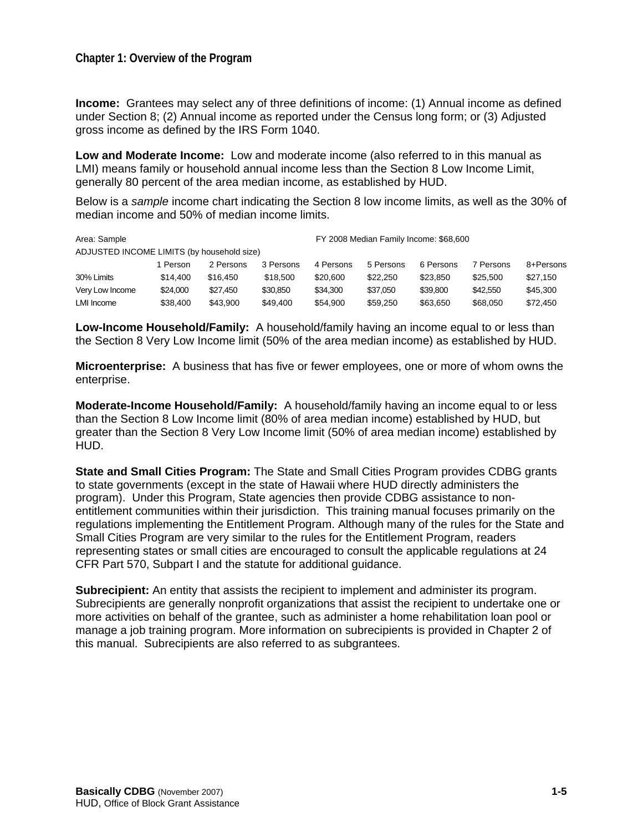#### **Chapter 1: Overview of the Program**

**Income:** Grantees may select any of three definitions of income: (1) Annual income as defined under Section 8; (2) Annual income as reported under the Census long form; or (3) Adjusted gross income as defined by the IRS Form 1040.

**Low and Moderate Income:** Low and moderate income (also referred to in this manual as LMI) means family or household annual income less than the Section 8 Low Income Limit, generally 80 percent of the area median income, as established by HUD.

Below is a *sample* income chart indicating the Section 8 low income limits, as well as the 30% of median income and 50% of median income limits.

| Area: Sample                               |          |           |           | FY 2008 Median Family Income: \$68,600 |           |           |           |           |
|--------------------------------------------|----------|-----------|-----------|----------------------------------------|-----------|-----------|-----------|-----------|
| ADJUSTED INCOME LIMITS (by household size) |          |           |           |                                        |           |           |           |           |
|                                            | 1 Person | 2 Persons | 3 Persons | 4 Persons                              | 5 Persons | 6 Persons | 7 Persons | 8+Persons |
| 30% Limits                                 | \$14,400 | \$16,450  | \$18,500  | \$20,600                               | \$22,250  | \$23,850  | \$25,500  | \$27.150  |
| Very Low Income                            | \$24,000 | \$27.450  | \$30.850  | \$34,300                               | \$37.050  | \$39,800  | \$42,550  | \$45,300  |
| LMI Income                                 | \$38.400 | \$43,900  | \$49,400  | \$54,900                               | \$59,250  | \$63,650  | \$68,050  | \$72,450  |

**Low-Income Household/Family:** A household/family having an income equal to or less than the Section 8 Very Low Income limit (50% of the area median income) as established by HUD.

**Microenterprise:** A business that has five or fewer employees, one or more of whom owns the enterprise.

**Moderate-Income Household/Family:** A household/family having an income equal to or less than the Section 8 Low Income limit (80% of area median income) established by HUD, but greater than the Section 8 Very Low Income limit (50% of area median income) established by HUD.

**State and Small Cities Program:** The State and Small Cities Program provides CDBG grants to state governments (except in the state of Hawaii where HUD directly administers the program). Under this Program, State agencies then provide CDBG assistance to nonentitlement communities within their jurisdiction. This training manual focuses primarily on the regulations implementing the Entitlement Program. Although many of the rules for the State and Small Cities Program are very similar to the rules for the Entitlement Program, readers representing states or small cities are encouraged to consult the applicable regulations at 24 CFR Part 570, Subpart I and the statute for additional guidance.

**Subrecipient:** An entity that assists the recipient to implement and administer its program. Subrecipients are generally nonprofit organizations that assist the recipient to undertake one or more activities on behalf of the grantee, such as administer a home rehabilitation loan pool or manage a job training program. More information on subrecipients is provided in Chapter 2 of this manual. Subrecipients are also referred to as subgrantees.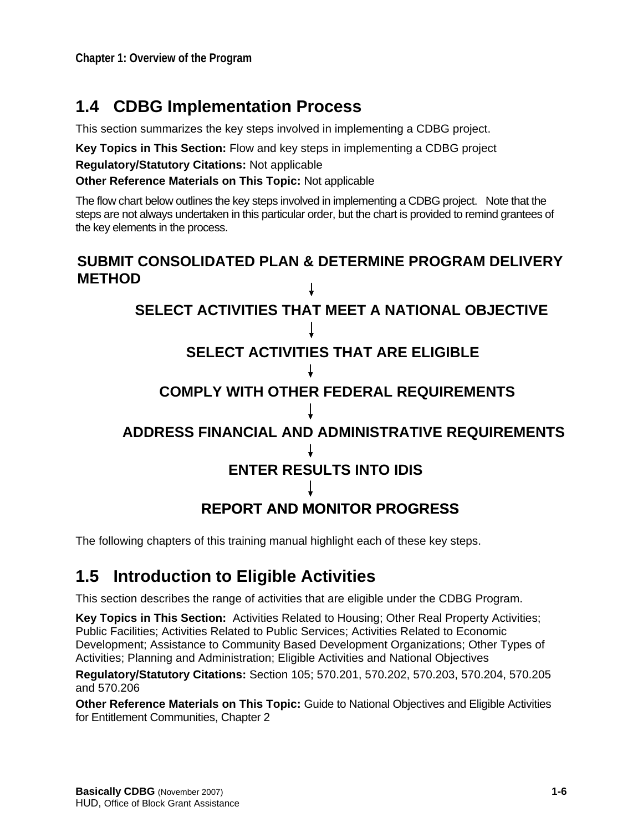### **1.4 CDBG Implementation Process**

This section summarizes the key steps involved in implementing a CDBG project.

**Key Topics in This Section:** Flow and key steps in implementing a CDBG project

**Regulatory/Statutory Citations:** Not applicable

 **Other Reference Materials on This Topic:** Not applicable

The flow chart below outlines the key steps involved in implementing a CDBG project. Note that the steps are not always undertaken in this particular order, but the chart is provided to remind grantees of the key elements in the process.



The following chapters of this training manual highlight each of these key steps.

### **1.5 Introduction to Eligible Activities**

This section describes the range of activities that are eligible under the CDBG Program.

**Key Topics in This Section:** Activities Related to Housing; Other Real Property Activities; Public Facilities; Activities Related to Public Services; Activities Related to Economic Development; Assistance to Community Based Development Organizations; Other Types of Activities; Planning and Administration; Eligible Activities and National Objectives

**Regulatory/Statutory Citations:** Section 105; 570.201, 570.202, 570.203, 570.204, 570.205 and 570.206

**Other Reference Materials on This Topic:** Guide to National Objectives and Eligible Activities for Entitlement Communities, Chapter 2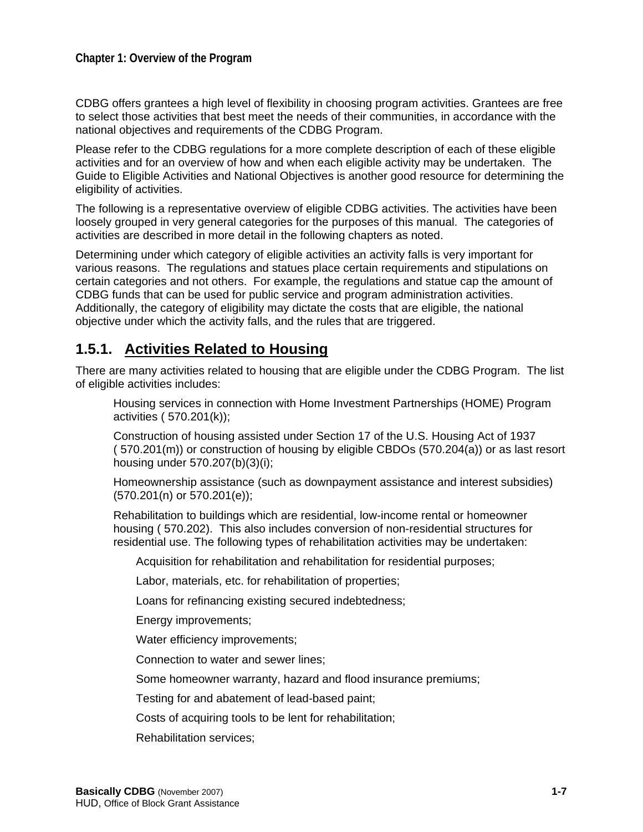CDBG offers grantees a high level of flexibility in choosing program activities. Grantees are free to select those activities that best meet the needs of their communities, in accordance with the national objectives and requirements of the CDBG Program.

Please refer to the CDBG regulations for a more complete description of each of these eligible activities and for an overview of how and when each eligible activity may be undertaken. The Guide to Eligible Activities and National Objectives is another good resource for determining the eligibility of activities.

The following is a representative overview of eligible CDBG activities. The activities have been loosely grouped in very general categories for the purposes of this manual. The categories of activities are described in more detail in the following chapters as noted.

Determining under which category of eligible activities an activity falls is very important for various reasons. The regulations and statues place certain requirements and stipulations on certain categories and not others. For example, the regulations and statue cap the amount of CDBG funds that can be used for public service and program administration activities. Additionally, the category of eligibility may dictate the costs that are eligible, the national objective under which the activity falls, and the rules that are triggered.

#### **1.5.1. Activities Related to Housing**

There are many activities related to housing that are eligible under the CDBG Program. The list of eligible activities includes:

Housing services in connection with Home Investment Partnerships (HOME) Program activities ( 570.201(k));

Construction of housing assisted under Section 17 of the U.S. Housing Act of 1937 ( 570.201(m)) or construction of housing by eligible CBDOs (570.204(a)) or as last resort housing under 570.207(b)(3)(i);

Homeownership assistance (such as downpayment assistance and interest subsidies) (570.201(n) or 570.201(e));

Rehabilitation to buildings which are residential, low-income rental or homeowner housing ( 570.202). This also includes conversion of non-residential structures for residential use. The following types of rehabilitation activities may be undertaken:

Acquisition for rehabilitation and rehabilitation for residential purposes;

Labor, materials, etc. for rehabilitation of properties;

Loans for refinancing existing secured indebtedness;

Energy improvements;

Water efficiency improvements;

Connection to water and sewer lines;

Some homeowner warranty, hazard and flood insurance premiums;

Testing for and abatement of lead-based paint;

Costs of acquiring tools to be lent for rehabilitation;

Rehabilitation services;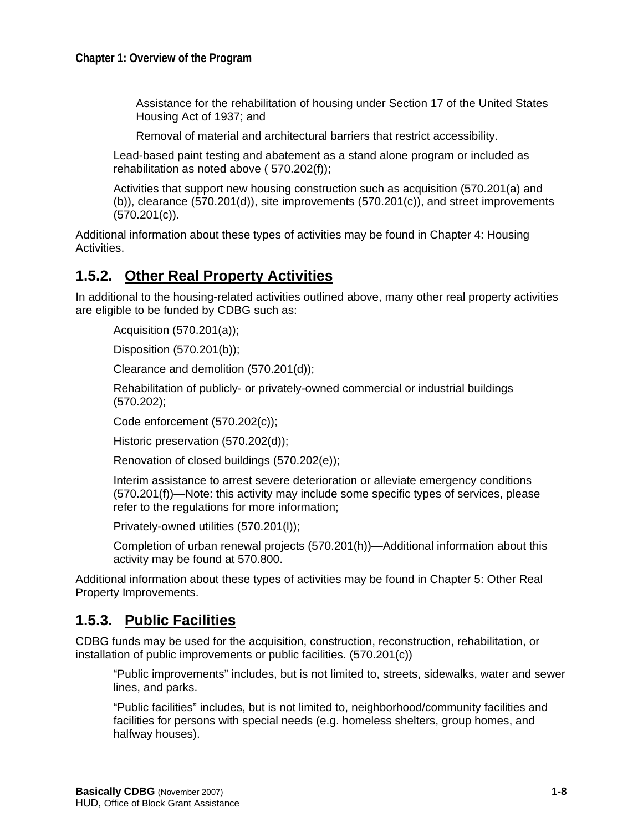Assistance for the rehabilitation of housing under Section 17 of the United States Housing Act of 1937; and

Removal of material and architectural barriers that restrict accessibility.

Lead-based paint testing and abatement as a stand alone program or included as rehabilitation as noted above ( 570.202(f));

Activities that support new housing construction such as acquisition (570.201(a) and (b)), clearance (570.201(d)), site improvements (570.201(c)), and street improvements (570.201(c)).

Additional information about these types of activities may be found in Chapter 4: Housing Activities.

#### **1.5.2. Other Real Property Activities**

In additional to the housing-related activities outlined above, many other real property activities are eligible to be funded by CDBG such as:

Acquisition (570.201(a));

Disposition (570.201(b));

Clearance and demolition (570.201(d));

Rehabilitation of publicly- or privately-owned commercial or industrial buildings (570.202);

Code enforcement (570.202(c));

Historic preservation (570.202(d));

Renovation of closed buildings (570.202(e));

Interim assistance to arrest severe deterioration or alleviate emergency conditions (570.201(f))—Note: this activity may include some specific types of services, please refer to the regulations for more information;

Privately-owned utilities (570.201(l));

Completion of urban renewal projects (570.201(h))—Additional information about this activity may be found at 570.800.

Additional information about these types of activities may be found in Chapter 5: Other Real Property Improvements.

#### **1.5.3. Public Facilities**

CDBG funds may be used for the acquisition, construction, reconstruction, rehabilitation, or installation of public improvements or public facilities. (570.201(c))

"Public improvements" includes, but is not limited to, streets, sidewalks, water and sewer lines, and parks.

"Public facilities" includes, but is not limited to, neighborhood/community facilities and facilities for persons with special needs (e.g. homeless shelters, group homes, and halfway houses).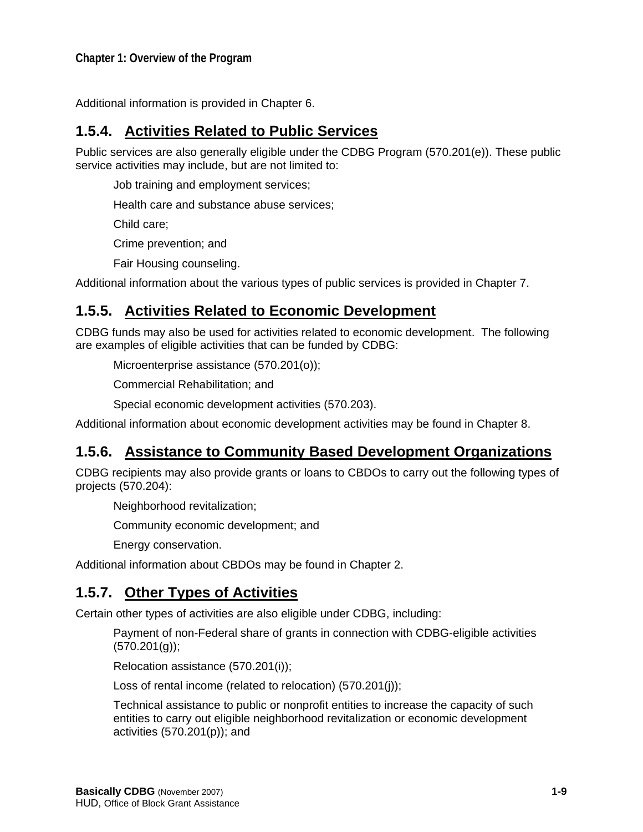Additional information is provided in Chapter 6.

### **1.5.4. Activities Related to Public Services**

Public services are also generally eligible under the CDBG Program (570.201(e)). These public service activities may include, but are not limited to:

Job training and employment services;

Health care and substance abuse services;

Child care;

Crime prevention; and

Fair Housing counseling.

Additional information about the various types of public services is provided in Chapter 7.

#### **1.5.5. Activities Related to Economic Development**

CDBG funds may also be used for activities related to economic development. The following are examples of eligible activities that can be funded by CDBG:

Microenterprise assistance (570.201(o));

Commercial Rehabilitation; and

Special economic development activities (570.203).

Additional information about economic development activities may be found in Chapter 8.

#### **1.5.6. Assistance to Community Based Development Organizations**

CDBG recipients may also provide grants or loans to CBDOs to carry out the following types of projects (570.204):

Neighborhood revitalization;

Community economic development; and

Energy conservation.

Additional information about CBDOs may be found in Chapter 2.

### **1.5.7. Other Types of Activities**

Certain other types of activities are also eligible under CDBG, including:

Payment of non-Federal share of grants in connection with CDBG-eligible activities  $(570.201(g));$ 

Relocation assistance (570.201(i));

Loss of rental income (related to relocation) (570.201(j));

Technical assistance to public or nonprofit entities to increase the capacity of such entities to carry out eligible neighborhood revitalization or economic development activities (570.201(p)); and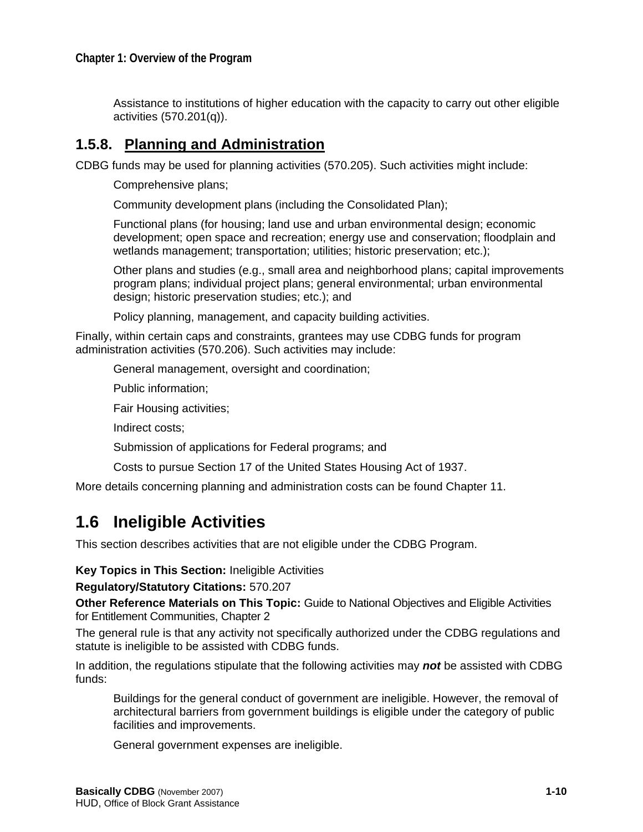Assistance to institutions of higher education with the capacity to carry out other eligible activities (570.201(q)).

#### **1.5.8. Planning and Administration**

CDBG funds may be used for planning activities (570.205). Such activities might include:

Comprehensive plans;

Community development plans (including the Consolidated Plan);

Functional plans (for housing; land use and urban environmental design; economic development; open space and recreation; energy use and conservation; floodplain and wetlands management; transportation; utilities; historic preservation; etc.);

Other plans and studies (e.g., small area and neighborhood plans; capital improvements program plans; individual project plans; general environmental; urban environmental design; historic preservation studies; etc.); and

Policy planning, management, and capacity building activities.

Finally, within certain caps and constraints, grantees may use CDBG funds for program administration activities (570.206). Such activities may include:

General management, oversight and coordination;

Public information;

Fair Housing activities;

Indirect costs;

Submission of applications for Federal programs; and

Costs to pursue Section 17 of the United States Housing Act of 1937.

More details concerning planning and administration costs can be found Chapter 11.

### **1.6 Ineligible Activities**

This section describes activities that are not eligible under the CDBG Program.

**Key Topics in This Section:** Ineligible Activities

**Regulatory/Statutory Citations:** 570.207

**Other Reference Materials on This Topic:** Guide to National Objectives and Eligible Activities for Entitlement Communities, Chapter 2

The general rule is that any activity not specifically authorized under the CDBG regulations and statute is ineligible to be assisted with CDBG funds.

In addition, the regulations stipulate that the following activities may *not* be assisted with CDBG funds:

Buildings for the general conduct of government are ineligible. However, the removal of architectural barriers from government buildings is eligible under the category of public facilities and improvements.

General government expenses are ineligible.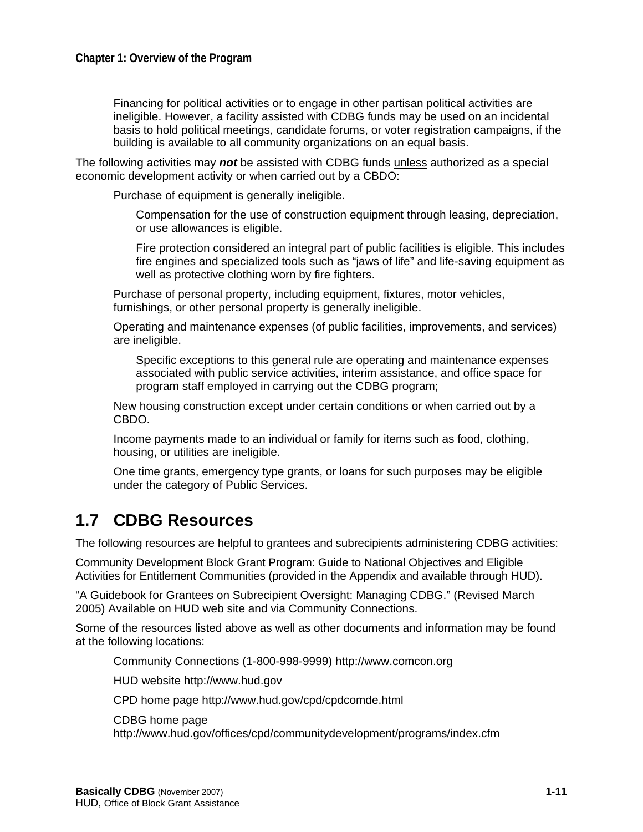Financing for political activities or to engage in other partisan political activities are ineligible. However, a facility assisted with CDBG funds may be used on an incidental basis to hold political meetings, candidate forums, or voter registration campaigns, if the building is available to all community organizations on an equal basis.

The following activities may *not* be assisted with CDBG funds unless authorized as a special economic development activity or when carried out by a CBDO:

Purchase of equipment is generally ineligible.

Compensation for the use of construction equipment through leasing, depreciation, or use allowances is eligible.

Fire protection considered an integral part of public facilities is eligible. This includes fire engines and specialized tools such as "jaws of life" and life-saving equipment as well as protective clothing worn by fire fighters.

Purchase of personal property, including equipment, fixtures, motor vehicles, furnishings, or other personal property is generally ineligible.

Operating and maintenance expenses (of public facilities, improvements, and services) are ineligible.

Specific exceptions to this general rule are operating and maintenance expenses associated with public service activities, interim assistance, and office space for program staff employed in carrying out the CDBG program;

New housing construction except under certain conditions or when carried out by a CBDO.

Income payments made to an individual or family for items such as food, clothing, housing, or utilities are ineligible.

One time grants, emergency type grants, or loans for such purposes may be eligible under the category of Public Services.

### **1.7 CDBG Resources**

The following resources are helpful to grantees and subrecipients administering CDBG activities:

Community Development Block Grant Program: Guide to National Objectives and Eligible Activities for Entitlement Communities (provided in the Appendix and available through HUD).

"A Guidebook for Grantees on Subrecipient Oversight: Managing CDBG." (Revised March 2005) Available on HUD web site and via Community Connections.

Some of the resources listed above as well as other documents and information may be found at the following locations:

Community Connections (1-800-998-9999) [http://www.comcon.org](http://www.comcon.org/)

HUD website [http://www.hud.gov](http://www.hud.gov/)

CPD home page<http://www.hud.gov/cpd/cpdcomde.html>

CDBG home page

<http://www.hud.gov/offices/cpd/communitydevelopment/programs/index.cfm>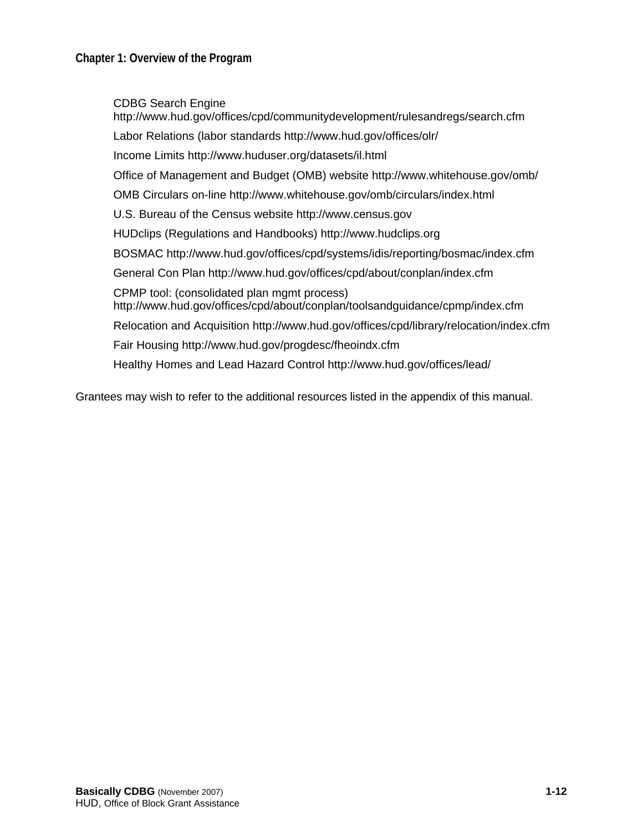CDBG Search Engine <http://www.hud.gov/offices/cpd/communitydevelopment/rulesandregs/search.cfm> Labor Relations (labor standards <http://www.hud.gov/offices/olr/> Income Limits <http://www.huduser.org/datasets/il.html> Office of Management and Budget (OMB) website<http://www.whitehouse.gov/omb/> OMB Circulars on-line <http://www.whitehouse.gov/omb/circulars/index.html> U.S. Bureau of the Census website [http://www.census.gov](http://www.census.gov/) HUDclips (Regulations and Handbooks) [http://www.hudclips.org](http://www.hudclips.org/) BOSMAC <http://www.hud.gov/offices/cpd/systems/idis/reporting/bosmac/index.cfm> General Con Plan<http://www.hud.gov/offices/cpd/about/conplan/index.cfm> CPMP tool: (consolidated plan mgmt process) <http://www.hud.gov/offices/cpd/about/conplan/toolsandguidance/cpmp/index.cfm> Relocation and Acquisition <http://www.hud.gov/offices/cpd/library/relocation/index.cfm> Fair Housing<http://www.hud.gov/progdesc/fheoindx.cfm> Healthy Homes and Lead Hazard Control<http://www.hud.gov/offices/lead/>

Grantees may wish to refer to the additional resources listed in the appendix of this manual.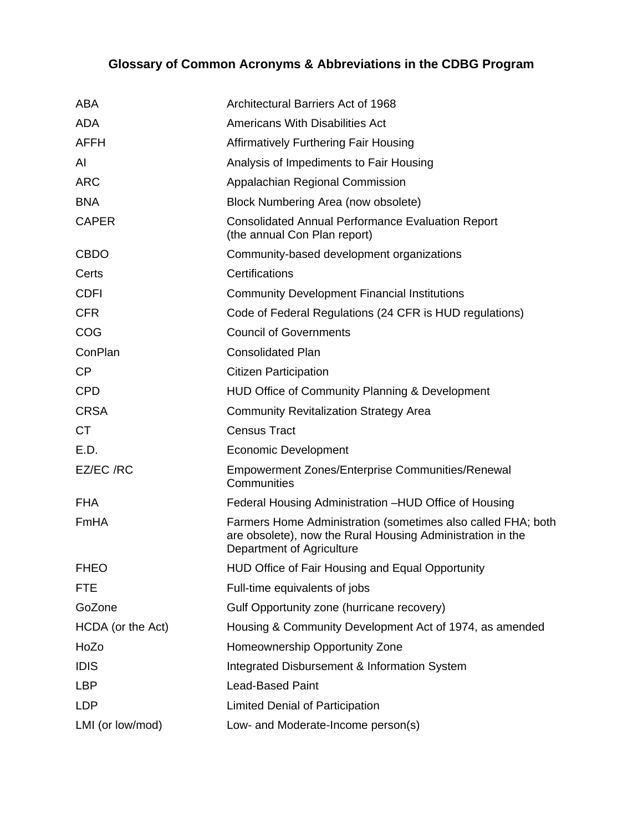### **Glossary of Common Acronyms & Abbreviations in the CDBG Program**

| <b>ABA</b>        | Architectural Barriers Act of 1968                                                                                                                      |
|-------------------|---------------------------------------------------------------------------------------------------------------------------------------------------------|
| <b>ADA</b>        | <b>Americans With Disabilities Act</b>                                                                                                                  |
| <b>AFFH</b>       | <b>Affirmatively Furthering Fair Housing</b>                                                                                                            |
| AI                | Analysis of Impediments to Fair Housing                                                                                                                 |
| <b>ARC</b>        | Appalachian Regional Commission                                                                                                                         |
| <b>BNA</b>        | Block Numbering Area (now obsolete)                                                                                                                     |
| <b>CAPER</b>      | <b>Consolidated Annual Performance Evaluation Report</b><br>(the annual Con Plan report)                                                                |
| <b>CBDO</b>       | Community-based development organizations                                                                                                               |
| Certs             | Certifications                                                                                                                                          |
| <b>CDFI</b>       | <b>Community Development Financial Institutions</b>                                                                                                     |
| <b>CFR</b>        | Code of Federal Regulations (24 CFR is HUD regulations)                                                                                                 |
| COG               | <b>Council of Governments</b>                                                                                                                           |
| ConPlan           | <b>Consolidated Plan</b>                                                                                                                                |
| <b>CP</b>         | <b>Citizen Participation</b>                                                                                                                            |
| <b>CPD</b>        | HUD Office of Community Planning & Development                                                                                                          |
| <b>CRSA</b>       | <b>Community Revitalization Strategy Area</b>                                                                                                           |
| <b>CT</b>         | <b>Census Tract</b>                                                                                                                                     |
| E.D.              | <b>Economic Development</b>                                                                                                                             |
| EZ/EC /RC         | <b>Empowerment Zones/Enterprise Communities/Renewal</b><br>Communities                                                                                  |
| <b>FHA</b>        | Federal Housing Administration -HUD Office of Housing                                                                                                   |
| FmHA              | Farmers Home Administration (sometimes also called FHA; both<br>are obsolete), now the Rural Housing Administration in the<br>Department of Agriculture |
| <b>FHEO</b>       | HUD Office of Fair Housing and Equal Opportunity                                                                                                        |
| <b>FTE</b>        | Full-time equivalents of jobs                                                                                                                           |
| GoZone            | Gulf Opportunity zone (hurricane recovery)                                                                                                              |
| HCDA (or the Act) | Housing & Community Development Act of 1974, as amended                                                                                                 |
| HoZo              | Homeownership Opportunity Zone                                                                                                                          |
| <b>IDIS</b>       | Integrated Disbursement & Information System                                                                                                            |
| <b>LBP</b>        | <b>Lead-Based Paint</b>                                                                                                                                 |
| <b>LDP</b>        | <b>Limited Denial of Participation</b>                                                                                                                  |
| LMI (or low/mod)  | Low- and Moderate-Income person(s)                                                                                                                      |